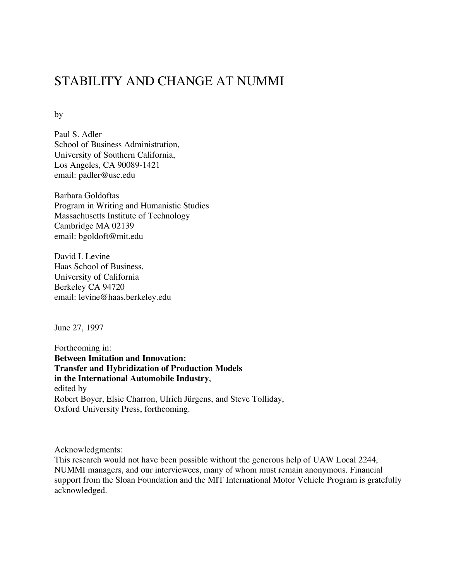# STABILITY AND CHANGE AT NUMMI

by

Paul S. Adler School of Business Administration, University of Southern California, Los Angeles, CA 90089-1421 email: padler@usc.edu

Barbara Goldoftas Program in Writing and Humanistic Studies Massachusetts Institute of Technology Cambridge MA 02139 email: bgoldoft@mit.edu

David I. Levine Haas School of Business, University of California Berkeley CA 94720 email: levine@haas.berkeley.edu

June 27, 1997

Forthcoming in: **Between Imitation and Innovation: Transfer and Hybridization of Production Models in the International Automobile Industry**, edited by Robert Boyer, Elsie Charron, Ulrich Jürgens, and Steve Tolliday, Oxford University Press, forthcoming.

Acknowledgments:

This research would not have been possible without the generous help of UAW Local 2244, NUMMI managers, and our interviewees, many of whom must remain anonymous. Financial support from the Sloan Foundation and the MIT International Motor Vehicle Program is gratefully acknowledged.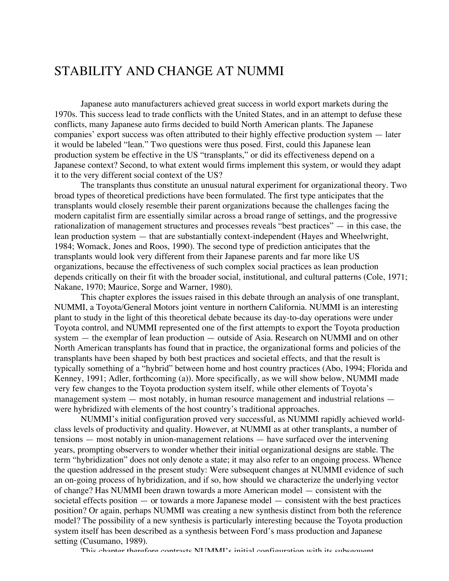# STABILITY AND CHANGE AT NUMMI

Japanese auto manufacturers achieved great success in world export markets during the 1970s. This success lead to trade conflicts with the United States, and in an attempt to defuse these conflicts, many Japanese auto firms decided to build North American plants. The Japanese companies' export success was often attributed to their highly effective production system — later it would be labeled "lean." Two questions were thus posed. First, could this Japanese lean production system be effective in the US "transplants," or did its effectiveness depend on a Japanese context? Second, to what extent would firms implement this system, or would they adapt it to the very different social context of the US?

The transplants thus constitute an unusual natural experiment for organizational theory. Two broad types of theoretical predictions have been formulated. The first type anticipates that the transplants would closely resemble their parent organizations because the challenges facing the modern capitalist firm are essentially similar across a broad range of settings, and the progressive rationalization of management structures and processes reveals "best practices" — in this case, the lean production system — that are substantially context-independent (Hayes and Wheelwright, 1984; Womack, Jones and Roos, 1990). The second type of prediction anticipates that the transplants would look very different from their Japanese parents and far more like US organizations, because the effectiveness of such complex social practices as lean production depends critically on their fit with the broader social, institutional, and cultural patterns (Cole, 1971; Nakane, 1970; Maurice, Sorge and Warner, 1980).

This chapter explores the issues raised in this debate through an analysis of one transplant, NUMMI, a Toyota/General Motors joint venture in northern California. NUMMI is an interesting plant to study in the light of this theoretical debate because its day-to-day operations were under Toyota control, and NUMMI represented one of the first attempts to export the Toyota production system — the exemplar of lean production — outside of Asia. Research on NUMMI and on other North American transplants has found that in practice, the organizational forms and policies of the transplants have been shaped by both best practices and societal effects, and that the result is typically something of a "hybrid" between home and host country practices (Abo, 1994; Florida and Kenney, 1991; Adler, forthcoming (a)). More specifically, as we will show below, NUMMI made very few changes to the Toyota production system itself, while other elements of Toyota's management system — most notably, in human resource management and industrial relations were hybridized with elements of the host country's traditional approaches.

NUMMI's initial configuration proved very successful, as NUMMI rapidly achieved worldclass levels of productivity and quality. However, at NUMMI as at other transplants, a number of tensions — most notably in union-management relations — have surfaced over the intervening years, prompting observers to wonder whether their initial organizational designs are stable. The term "hybridization" does not only denote a state; it may also refer to an ongoing process. Whence the question addressed in the present study: Were subsequent changes at NUMMI evidence of such an on-going process of hybridization, and if so, how should we characterize the underlying vector of change? Has NUMMI been drawn towards a more American model — consistent with the societal effects position — or towards a more Japanese model — consistent with the best practices position? Or again, perhaps NUMMI was creating a new synthesis distinct from both the reference model? The possibility of a new synthesis is particularly interesting because the Toyota production system itself has been described as a synthesis between Ford's mass production and Japanese setting (Cusumano, 1989).

This chapter therefore contrasts NUMMI's initial configuration with its subsequent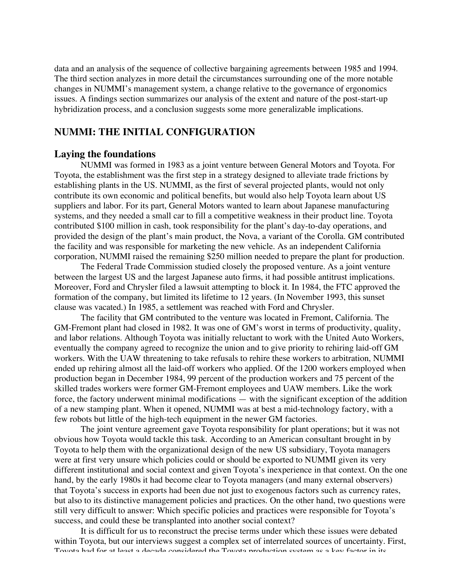data and an analysis of the sequence of collective bargaining agreements between 1985 and 1994. The third section analyzes in more detail the circumstances surrounding one of the more notable changes in NUMMI's management system, a change relative to the governance of ergonomics issues. A findings section summarizes our analysis of the extent and nature of the post-start-up hybridization process, and a conclusion suggests some more generalizable implications.

# **NUMMI: THE INITIAL CONFIGURATION**

## **Laying the foundations**

NUMMI was formed in 1983 as a joint venture between General Motors and Toyota. For Toyota, the establishment was the first step in a strategy designed to alleviate trade frictions by establishing plants in the US. NUMMI, as the first of several projected plants, would not only contribute its own economic and political benefits, but would also help Toyota learn about US suppliers and labor. For its part, General Motors wanted to learn about Japanese manufacturing systems, and they needed a small car to fill a competitive weakness in their product line. Toyota contributed \$100 million in cash, took responsibility for the plant's day-to-day operations, and provided the design of the plant's main product, the Nova, a variant of the Corolla. GM contributed the facility and was responsible for marketing the new vehicle. As an independent California corporation, NUMMI raised the remaining \$250 million needed to prepare the plant for production.

The Federal Trade Commission studied closely the proposed venture. As a joint venture between the largest US and the largest Japanese auto firms, it had possible antitrust implications. Moreover, Ford and Chrysler filed a lawsuit attempting to block it. In 1984, the FTC approved the formation of the company, but limited its lifetime to 12 years. (In November 1993, this sunset clause was vacated.) In 1985, a settlement was reached with Ford and Chrysler.

The facility that GM contributed to the venture was located in Fremont, California. The GM-Fremont plant had closed in 1982. It was one of GM's worst in terms of productivity, quality, and labor relations. Although Toyota was initially reluctant to work with the United Auto Workers, eventually the company agreed to recognize the union and to give priority to rehiring laid-off GM workers. With the UAW threatening to take refusals to rehire these workers to arbitration, NUMMI ended up rehiring almost all the laid-off workers who applied. Of the 1200 workers employed when production began in December 1984, 99 percent of the production workers and 75 percent of the skilled trades workers were former GM-Fremont employees and UAW members. Like the work force, the factory underwent minimal modifications — with the significant exception of the addition of a new stamping plant. When it opened, NUMMI was at best a mid-technology factory, with a few robots but little of the high-tech equipment in the newer GM factories.

The joint venture agreement gave Toyota responsibility for plant operations; but it was not obvious how Toyota would tackle this task. According to an American consultant brought in by Toyota to help them with the organizational design of the new US subsidiary, Toyota managers were at first very unsure which policies could or should be exported to NUMMI given its very different institutional and social context and given Toyota's inexperience in that context. On the one hand, by the early 1980s it had become clear to Toyota managers (and many external observers) that Toyota's success in exports had been due not just to exogenous factors such as currency rates, but also to its distinctive management policies and practices. On the other hand, two questions were still very difficult to answer: Which specific policies and practices were responsible for Toyota's success, and could these be transplanted into another social context?

It is difficult for us to reconstruct the precise terms under which these issues were debated within Toyota, but our interviews suggest a complex set of interrelated sources of uncertainty. First, Toyota had for at least a decade considered the Toyota production system as a key factor in its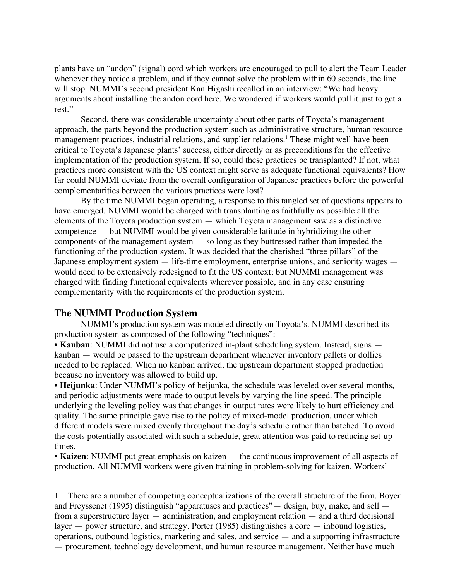plants have an "andon" (signal) cord which workers are encouraged to pull to alert the Team Leader whenever they notice a problem, and if they cannot solve the problem within 60 seconds, the line will stop. NUMMI's second president Kan Higashi recalled in an interview: "We had heavy arguments about installing the andon cord here. We wondered if workers would pull it just to get a rest."

Second, there was considerable uncertainty about other parts of Toyota's management approach, the parts beyond the production system such as administrative structure, human resource management practices, industrial relations, and supplier relations.<sup>1</sup> These might well have been critical to Toyota's Japanese plants' success, either directly or as preconditions for the effective implementation of the production system. If so, could these practices be transplanted? If not, what practices more consistent with the US context might serve as adequate functional equivalents? How far could NUMMI deviate from the overall configuration of Japanese practices before the powerful complementarities between the various practices were lost?

By the time NUMMI began operating, a response to this tangled set of questions appears to have emerged. NUMMI would be charged with transplanting as faithfully as possible all the elements of the Toyota production system — which Toyota management saw as a distinctive competence — but NUMMI would be given considerable latitude in hybridizing the other components of the management system — so long as they buttressed rather than impeded the functioning of the production system. It was decided that the cherished "three pillars" of the Japanese employment system — life-time employment, enterprise unions, and seniority wages would need to be extensively redesigned to fit the US context; but NUMMI management was charged with finding functional equivalents wherever possible, and in any case ensuring complementarity with the requirements of the production system.

# **The NUMMI Production System**

-

NUMMI's production system was modeled directly on Toyota's. NUMMI described its production system as composed of the following "techniques":

• **Kanban**: NUMMI did not use a computerized in-plant scheduling system. Instead, signs kanban — would be passed to the upstream department whenever inventory pallets or dollies needed to be replaced. When no kanban arrived, the upstream department stopped production because no inventory was allowed to build up.

• **Heijunka**: Under NUMMI's policy of heijunka, the schedule was leveled over several months, and periodic adjustments were made to output levels by varying the line speed. The principle underlying the leveling policy was that changes in output rates were likely to hurt efficiency and quality. The same principle gave rise to the policy of mixed-model production, under which different models were mixed evenly throughout the day's schedule rather than batched. To avoid the costs potentially associated with such a schedule, great attention was paid to reducing set-up times.

• **Kaizen**: NUMMI put great emphasis on kaizen — the continuous improvement of all aspects of production. All NUMMI workers were given training in problem-solving for kaizen. Workers'

<sup>1</sup> There are a number of competing conceptualizations of the overall structure of the firm. Boyer and Freyssenet (1995) distinguish "apparatuses and practices"— design, buy, make, and sell from a superstructure layer — administration, and employment relation — and a third decisional layer — power structure, and strategy. Porter (1985) distinguishes a core — inbound logistics, operations, outbound logistics, marketing and sales, and service — and a supporting infrastructure — procurement, technology development, and human resource management. Neither have much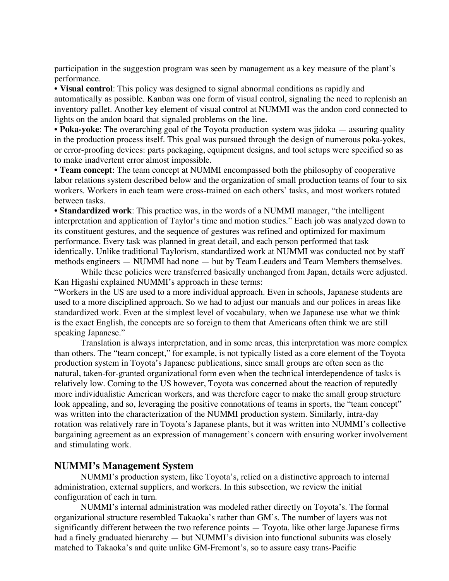participation in the suggestion program was seen by management as a key measure of the plant's performance.

• **Visual control**: This policy was designed to signal abnormal conditions as rapidly and automatically as possible. Kanban was one form of visual control, signaling the need to replenish an inventory pallet. Another key element of visual control at NUMMI was the andon cord connected to lights on the andon board that signaled problems on the line.

• **Poka-yoke**: The overarching goal of the Toyota production system was jidoka — assuring quality in the production process itself. This goal was pursued through the design of numerous poka-yokes, or error-proofing devices: parts packaging, equipment designs, and tool setups were specified so as to make inadvertent error almost impossible.

• **Team concept**: The team concept at NUMMI encompassed both the philosophy of cooperative labor relations system described below and the organization of small production teams of four to six workers. Workers in each team were cross-trained on each others' tasks, and most workers rotated between tasks.

• **Standardized work**: This practice was, in the words of a NUMMI manager, "the intelligent interpretation and application of Taylor's time and motion studies." Each job was analyzed down to its constituent gestures, and the sequence of gestures was refined and optimized for maximum performance. Every task was planned in great detail, and each person performed that task identically. Unlike traditional Taylorism, standardized work at NUMMI was conducted not by staff methods engineers — NUMMI had none — but by Team Leaders and Team Members themselves.

While these policies were transferred basically unchanged from Japan, details were adjusted. Kan Higashi explained NUMMI's approach in these terms:

"Workers in the US are used to a more individual approach. Even in schools, Japanese students are used to a more disciplined approach. So we had to adjust our manuals and our polices in areas like standardized work. Even at the simplest level of vocabulary, when we Japanese use what we think is the exact English, the concepts are so foreign to them that Americans often think we are still speaking Japanese."

Translation is always interpretation, and in some areas, this interpretation was more complex than others. The "team concept," for example, is not typically listed as a core element of the Toyota production system in Toyota's Japanese publications, since small groups are often seen as the natural, taken-for-granted organizational form even when the technical interdependence of tasks is relatively low. Coming to the US however, Toyota was concerned about the reaction of reputedly more individualistic American workers, and was therefore eager to make the small group structure look appealing, and so, leveraging the positive connotations of teams in sports, the "team concept" was written into the characterization of the NUMMI production system. Similarly, intra-day rotation was relatively rare in Toyota's Japanese plants, but it was written into NUMMI's collective bargaining agreement as an expression of management's concern with ensuring worker involvement and stimulating work.

# **NUMMI's Management System**

NUMMI's production system, like Toyota's, relied on a distinctive approach to internal administration, external suppliers, and workers. In this subsection, we review the initial configuration of each in turn.

NUMMI's internal administration was modeled rather directly on Toyota's. The formal organizational structure resembled Takaoka's rather than GM's. The number of layers was not significantly different between the two reference points — Toyota, like other large Japanese firms had a finely graduated hierarchy — but NUMMI's division into functional subunits was closely matched to Takaoka's and quite unlike GM-Fremont's, so to assure easy trans-Pacific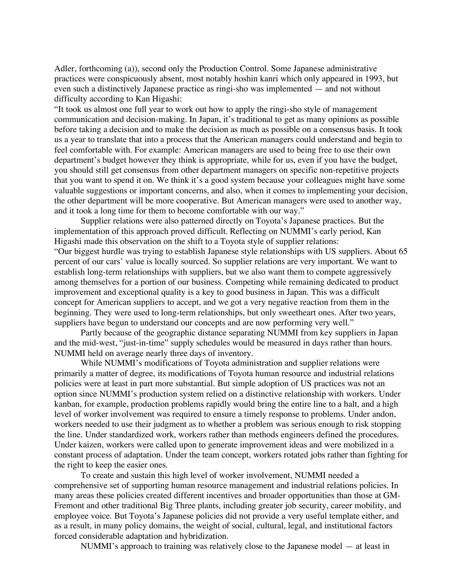Adler, forthcoming (a)), second only the Production Control. Some Japanese administrative practices were conspicuously absent, most notably hoshin kanri which only appeared in 1993, but even such a distinctively Japanese practice as ringi-sho was implemented — and not without difficulty according to Kan Higashi:

"It took us almost one full year to work out how to apply the ringi-sho style of management communication and decision-making. In Japan, it's traditional to get as many opinions as possible before taking a decision and to make the decision as much as possible on a consensus basis. It took us a year to translate that into a process that the American managers could understand and begin to feel comfortable with. For example: American managers are used to being free to use their own department's budget however they think is appropriate, while for us, even if you have the budget, you should still get consensus from other department managers on specific non-repetitive projects that you want to spend it on. We think it's a good system because your colleagues might have some valuable suggestions or important concerns, and also, when it comes to implementing your decision, the other department will be more cooperative. But American managers were used to another way, and it took a long time for them to become comfortable with our way."

Supplier relations were also patterned directly on Toyota's Japanese practices. But the implementation of this approach proved difficult. Reflecting on NUMMI's early period, Kan Higashi made this observation on the shift to a Toyota style of supplier relations: "Our biggest hurdle was trying to establish Japanese style relationships with US suppliers. About 65 percent of our cars' value is locally sourced. So supplier relations are very important. We want to establish long-term relationships with suppliers, but we also want them to compete aggressively among themselves for a portion of our business. Competing while remaining dedicated to product improvement and exceptional quality is a key to good business in Japan. This was a difficult concept for American suppliers to accept, and we got a very negative reaction from them in the beginning. They were used to long-term relationships, but only sweetheart ones. After two years, suppliers have begun to understand our concepts and are now performing very well."

Partly because of the geographic distance separating NUMMI from key suppliers in Japan and the mid-west, "just-in-time" supply schedules would be measured in days rather than hours. NUMMI held on average nearly three days of inventory.

While NUMMI's modifications of Toyota administration and supplier relations were primarily a matter of degree, its modifications of Toyota human resource and industrial relations policies were at least in part more substantial. But simple adoption of US practices was not an option since NUMMI's production system relied on a distinctive relationship with workers. Under kanban, for example, production problems rapidly would bring the entire line to a halt, and a high level of worker involvement was required to ensure a timely response to problems. Under andon, workers needed to use their judgment as to whether a problem was serious enough to risk stopping the line. Under standardized work, workers rather than methods engineers defined the procedures. Under kaizen, workers were called upon to generate improvement ideas and were mobilized in a constant process of adaptation. Under the team concept, workers rotated jobs rather than fighting for the right to keep the easier ones.

To create and sustain this high level of worker involvement, NUMMI needed a comprehensive set of supporting human resource management and industrial relations policies. In many areas these policies created different incentives and broader opportunities than those at GM-Fremont and other traditional Big Three plants, including greater job security, career mobility, and employee voice. But Toyota's Japanese policies did not provide a very useful template either, and as a result, in many policy domains, the weight of social, cultural, legal, and institutional factors forced considerable adaptation and hybridization.

NUMMI's approach to training was relatively close to the Japanese model — at least in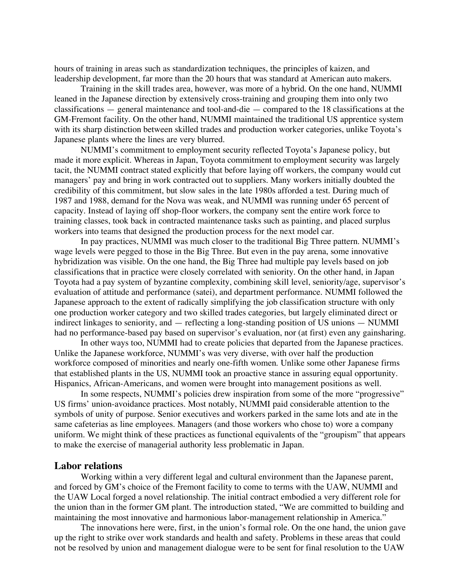hours of training in areas such as standardization techniques, the principles of kaizen, and leadership development, far more than the 20 hours that was standard at American auto makers.

Training in the skill trades area, however, was more of a hybrid. On the one hand, NUMMI leaned in the Japanese direction by extensively cross-training and grouping them into only two classifications — general maintenance and tool-and-die — compared to the 18 classifications at the GM-Fremont facility. On the other hand, NUMMI maintained the traditional US apprentice system with its sharp distinction between skilled trades and production worker categories, unlike Toyota's Japanese plants where the lines are very blurred.

NUMMI's commitment to employment security reflected Toyota's Japanese policy, but made it more explicit. Whereas in Japan, Toyota commitment to employment security was largely tacit, the NUMMI contract stated explicitly that before laying off workers, the company would cut managers' pay and bring in work contracted out to suppliers. Many workers initially doubted the credibility of this commitment, but slow sales in the late 1980s afforded a test. During much of 1987 and 1988, demand for the Nova was weak, and NUMMI was running under 65 percent of capacity. Instead of laying off shop-floor workers, the company sent the entire work force to training classes, took back in contracted maintenance tasks such as painting, and placed surplus workers into teams that designed the production process for the next model car.

In pay practices, NUMMI was much closer to the traditional Big Three pattern. NUMMI's wage levels were pegged to those in the Big Three. But even in the pay arena, some innovative hybridization was visible. On the one hand, the Big Three had multiple pay levels based on job classifications that in practice were closely correlated with seniority. On the other hand, in Japan Toyota had a pay system of byzantine complexity, combining skill level, seniority/age, supervisor's evaluation of attitude and performance (satei), and department performance. NUMMI followed the Japanese approach to the extent of radically simplifying the job classification structure with only one production worker category and two skilled trades categories, but largely eliminated direct or indirect linkages to seniority, and — reflecting a long-standing position of US unions — NUMMI had no performance-based pay based on supervisor's evaluation, nor (at first) even any gainsharing.

In other ways too, NUMMI had to create policies that departed from the Japanese practices. Unlike the Japanese workforce, NUMMI's was very diverse, with over half the production workforce composed of minorities and nearly one-fifth women. Unlike some other Japanese firms that established plants in the US, NUMMI took an proactive stance in assuring equal opportunity. Hispanics, African-Americans, and women were brought into management positions as well.

In some respects, NUMMI's policies drew inspiration from some of the more "progressive" US firms' union-avoidance practices. Most notably, NUMMI paid considerable attention to the symbols of unity of purpose. Senior executives and workers parked in the same lots and ate in the same cafeterias as line employees. Managers (and those workers who chose to) wore a company uniform. We might think of these practices as functional equivalents of the "groupism" that appears to make the exercise of managerial authority less problematic in Japan.

#### **Labor relations**

Working within a very different legal and cultural environment than the Japanese parent, and forced by GM's choice of the Fremont facility to come to terms with the UAW, NUMMI and the UAW Local forged a novel relationship. The initial contract embodied a very different role for the union than in the former GM plant. The introduction stated, "We are committed to building and maintaining the most innovative and harmonious labor-management relationship in America."

The innovations here were, first, in the union's formal role. On the one hand, the union gave up the right to strike over work standards and health and safety. Problems in these areas that could not be resolved by union and management dialogue were to be sent for final resolution to the UAW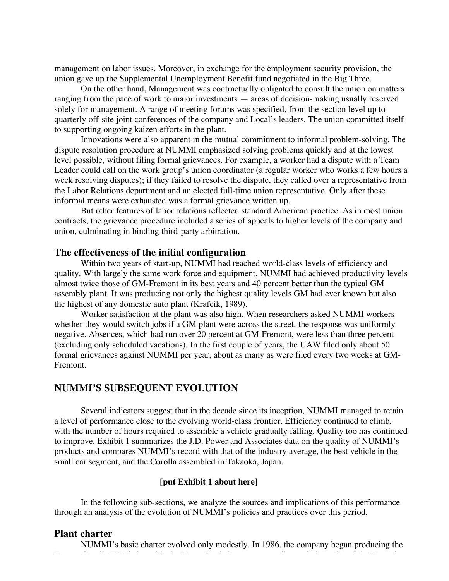management on labor issues. Moreover, in exchange for the employment security provision, the union gave up the Supplemental Unemployment Benefit fund negotiated in the Big Three.

On the other hand, Management was contractually obligated to consult the union on matters ranging from the pace of work to major investments — areas of decision-making usually reserved solely for management. A range of meeting forums was specified, from the section level up to quarterly off-site joint conferences of the company and Local's leaders. The union committed itself to supporting ongoing kaizen efforts in the plant.

Innovations were also apparent in the mutual commitment to informal problem-solving. The dispute resolution procedure at NUMMI emphasized solving problems quickly and at the lowest level possible, without filing formal grievances. For example, a worker had a dispute with a Team Leader could call on the work group's union coordinator (a regular worker who works a few hours a week resolving disputes); if they failed to resolve the dispute, they called over a representative from the Labor Relations department and an elected full-time union representative. Only after these informal means were exhausted was a formal grievance written up.

But other features of labor relations reflected standard American practice. As in most union contracts, the grievance procedure included a series of appeals to higher levels of the company and union, culminating in binding third-party arbitration.

#### **The effectiveness of the initial configuration**

Within two years of start-up, NUMMI had reached world-class levels of efficiency and quality. With largely the same work force and equipment, NUMMI had achieved productivity levels almost twice those of GM-Fremont in its best years and 40 percent better than the typical GM assembly plant. It was producing not only the highest quality levels GM had ever known but also the highest of any domestic auto plant (Krafcik, 1989).

Worker satisfaction at the plant was also high. When researchers asked NUMMI workers whether they would switch jobs if a GM plant were across the street, the response was uniformly negative. Absences, which had run over 20 percent at GM-Fremont, were less than three percent (excluding only scheduled vacations). In the first couple of years, the UAW filed only about 50 formal grievances against NUMMI per year, about as many as were filed every two weeks at GM-Fremont.

# **NUMMI'S SUBSEQUENT EVOLUTION**

Several indicators suggest that in the decade since its inception, NUMMI managed to retain a level of performance close to the evolving world-class frontier. Efficiency continued to climb, with the number of hours required to assemble a vehicle gradually falling. Quality too has continued to improve. Exhibit 1 summarizes the J.D. Power and Associates data on the quality of NUMMI's products and compares NUMMI's record with that of the industry average, the best vehicle in the small car segment, and the Corolla assembled in Takaoka, Japan.

#### **[put Exhibit 1 about here]**

In the following sub-sections, we analyze the sources and implications of this performance through an analysis of the evolution of NUMMI's policies and practices over this period.

Toyota Corolla FX16 alongside the Nova. Partly in response to disappointing sales of the Nova, in

#### **Plant charter**

NUMMI's basic charter evolved only modestly. In 1986, the company began producing the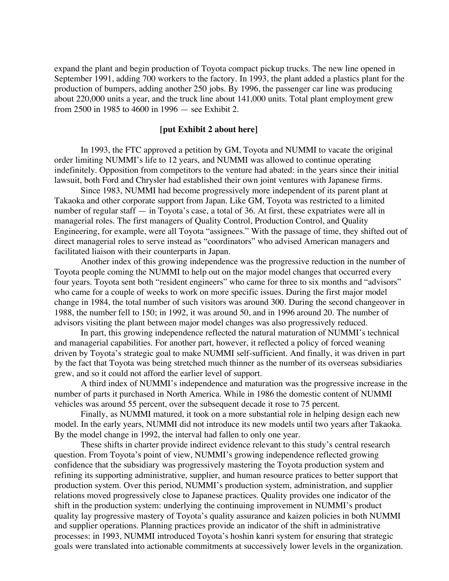expand the plant and begin production of Toyota compact pickup trucks. The new line opened in September 1991, adding 700 workers to the factory. In 1993, the plant added a plastics plant for the production of bumpers, adding another 250 jobs. By 1996, the passenger car line was producing about 220,000 units a year, and the truck line about 141,000 units. Total plant employment grew from 2500 in 1985 to 4600 in 1996 — see Exhibit 2.

#### **[put Exhibit 2 about here]**

In 1993, the FTC approved a petition by GM, Toyota and NUMMI to vacate the original order limiting NUMMI's life to 12 years, and NUMMI was allowed to continue operating indefinitely. Opposition from competitors to the venture had abated: in the years since their initial lawsuit, both Ford and Chrysler had established their own joint ventures with Japanese firms.

Since 1983, NUMMI had become progressively more independent of its parent plant at Takaoka and other corporate support from Japan. Like GM, Toyota was restricted to a limited number of regular staff — in Toyota's case, a total of 36. At first, these expatriates were all in managerial roles. The first managers of Quality Control, Production Control, and Quality Engineering, for example, were all Toyota "assignees." With the passage of time, they shifted out of direct managerial roles to serve instead as "coordinators" who advised American managers and facilitated liaison with their counterparts in Japan.

Another index of this growing independence was the progressive reduction in the number of Toyota people coming the NUMMI to help out on the major model changes that occurred every four years. Toyota sent both "resident engineers" who came for three to six months and "advisors" who came for a couple of weeks to work on more specific issues. During the first major model change in 1984, the total number of such visitors was around 300. During the second changeover in 1988, the number fell to 150; in 1992, it was around 50, and in 1996 around 20. The number of advisors visiting the plant between major model changes was also progressively reduced.

In part, this growing independence reflected the natural maturation of NUMMI's technical and managerial capabilities. For another part, however, it reflected a policy of forced weaning driven by Toyota's strategic goal to make NUMMI self-sufficient. And finally, it was driven in part by the fact that Toyota was being stretched much thinner as the number of its overseas subsidiaries grew, and so it could not afford the earlier level of support.

A third index of NUMMI's independence and maturation was the progressive increase in the number of parts it purchased in North America. While in 1986 the domestic content of NUMMI vehicles was around 55 percent, over the subsequent decade it rose to 75 percent.

Finally, as NUMMI matured, it took on a more substantial role in helping design each new model. In the early years, NUMMI did not introduce its new models until two years after Takaoka. By the model change in 1992, the interval had fallen to only one year.

These shifts in charter provide indirect evidence relevant to this study's central research question. From Toyota's point of view, NUMMI's growing independence reflected growing confidence that the subsidiary was progressively mastering the Toyota production system and refining its supporting administrative, supplier, and human resource pratices to better support that production system. Over this period, NUMMI's production system, administration, and supplier relations moved progressively close to Japanese practices. Quality provides one indicator of the shift in the production system: underlying the continuing improvement in NUMMI's product quality lay progressive mastery of Toyota's quality assurance and kaizen policies in both NUMMI and supplier operations. Planning practices provide an indicator of the shift in administrative processes: in 1993, NUMMI introduced Toyota's hoshin kanri system for ensuring that strategic goals were translated into actionable commitments at successively lower levels in the organization.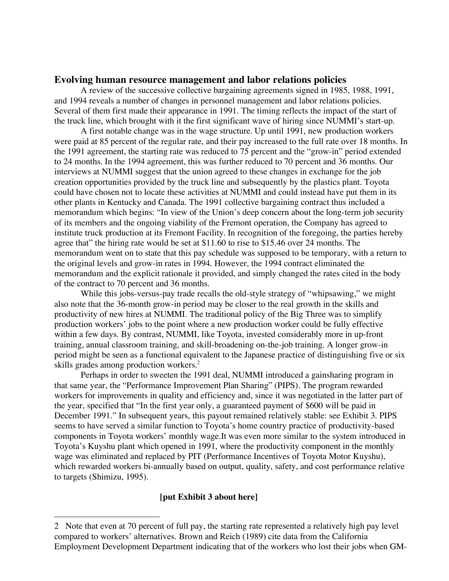### **Evolving human resource management and labor relations policies**

A review of the successive collective bargaining agreements signed in 1985, 1988, 1991, and 1994 reveals a number of changes in personnel management and labor relations policies. Several of them first made their appearance in 1991. The timing reflects the impact of the start of the truck line, which brought with it the first significant wave of hiring since NUMMI's start-up.

A first notable change was in the wage structure. Up until 1991, new production workers were paid at 85 percent of the regular rate, and their pay increased to the full rate over 18 months. In the 1991 agreement, the starting rate was reduced to 75 percent and the "grow-in" period extended to 24 months. In the 1994 agreement, this was further reduced to 70 percent and 36 months. Our interviews at NUMMI suggest that the union agreed to these changes in exchange for the job creation opportunities provided by the truck line and subsequently by the plastics plant. Toyota could have chosen not to locate these activities at NUMMI and could instead have put them in its other plants in Kentucky and Canada. The 1991 collective bargaining contract thus included a memorandum which begins: "In view of the Union's deep concern about the long-term job security of its members and the ongoing viability of the Fremont operation, the Company has agreed to institute truck production at its Fremont Facility. In recognition of the foregoing, the parties hereby agree that" the hiring rate would be set at \$11.60 to rise to \$15.46 over 24 months. The memorandum went on to state that this pay schedule was supposed to be temporary, with a return to the original levels and grow-in rates in 1994. However, the 1994 contract eliminated the memorandum and the explicit rationale it provided, and simply changed the rates cited in the body of the contract to 70 percent and 36 months.

While this jobs-versus-pay trade recalls the old-style strategy of "whipsawing," we might also note that the 36-month grow-in period may be closer to the real growth in the skills and productivity of new hires at NUMMI. The traditional policy of the Big Three was to simplify production workers' jobs to the point where a new production worker could be fully effective within a few days. By contrast, NUMMI, like Toyota, invested considerably more in up-front training, annual classroom training, and skill-broadening on-the-job training. A longer grow-in period might be seen as a functional equivalent to the Japanese practice of distinguishing five or six skills grades among production workers. 2

Perhaps in order to sweeten the 1991 deal, NUMMI introduced a gainsharing program in that same year, the "Performance Improvement Plan Sharing" (PIPS). The program rewarded workers for improvements in quality and efficiency and, since it was negotiated in the latter part of the year, specified that "In the first year only, a guaranteed payment of \$600 will be paid in December 1991." In subsequent years, this payout remained relatively stable: see Exhibit 3. PIPS seems to have served a similar function to Toyota's home country practice of productivity-based components in Toyota workers' monthly wage.It was even more similar to the system introduced in Toyota's Kuyshu plant which opened in 1991, where the productivity component in the monthly wage was eliminated and replaced by PIT (Performance Incentives of Toyota Motor Kuyshu), which rewarded workers bi-annually based on output, quality, safety, and cost performance relative to targets (Shimizu, 1995).

#### **[put Exhibit 3 about here]**

-

<sup>2</sup> Note that even at 70 percent of full pay, the starting rate represented a relatively high pay level compared to workers' alternatives. Brown and Reich (1989) cite data from the California Employment Development Department indicating that of the workers who lost their jobs when GM-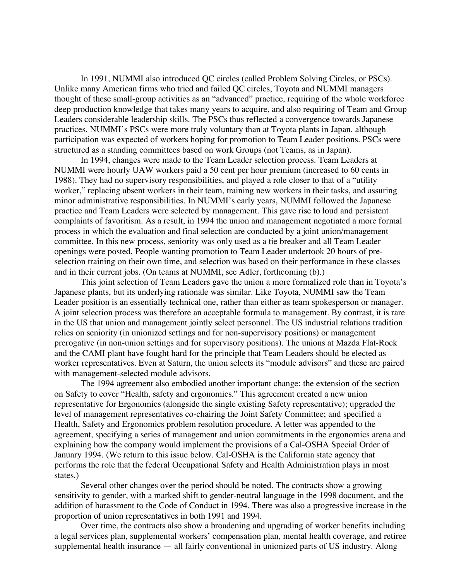In 1991, NUMMI also introduced QC circles (called Problem Solving Circles, or PSCs). Unlike many American firms who tried and failed QC circles, Toyota and NUMMI managers thought of these small-group activities as an "advanced" practice, requiring of the whole workforce deep production knowledge that takes many years to acquire, and also requiring of Team and Group Leaders considerable leadership skills. The PSCs thus reflected a convergence towards Japanese practices. NUMMI's PSCs were more truly voluntary than at Toyota plants in Japan, although participation was expected of workers hoping for promotion to Team Leader positions. PSCs were structured as a standing committees based on work Groups (not Teams, as in Japan).

In 1994, changes were made to the Team Leader selection process. Team Leaders at NUMMI were hourly UAW workers paid a 50 cent per hour premium (increased to 60 cents in 1988). They had no supervisory responsibilities, and played a role closer to that of a "utility worker," replacing absent workers in their team, training new workers in their tasks, and assuring minor administrative responsibilities. In NUMMI's early years, NUMMI followed the Japanese practice and Team Leaders were selected by management. This gave rise to loud and persistent complaints of favoritism. As a result, in 1994 the union and management negotiated a more formal process in which the evaluation and final selection are conducted by a joint union/management committee. In this new process, seniority was only used as a tie breaker and all Team Leader openings were posted. People wanting promotion to Team Leader undertook 20 hours of preselection training on their own time, and selection was based on their performance in these classes and in their current jobs. (On teams at NUMMI, see Adler, forthcoming (b).)

This joint selection of Team Leaders gave the union a more formalized role than in Toyota's Japanese plants, but its underlying rationale was similar. Like Toyota, NUMMI saw the Team Leader position is an essentially technical one, rather than either as team spokesperson or manager. A joint selection process was therefore an acceptable formula to management. By contrast, it is rare in the US that union and management jointly select personnel. The US industrial relations tradition relies on seniority (in unionized settings and for non-supervisory positions) or management prerogative (in non-union settings and for supervisory positions). The unions at Mazda Flat-Rock and the CAMI plant have fought hard for the principle that Team Leaders should be elected as worker representatives. Even at Saturn, the union selects its "module advisors" and these are paired with management-selected module advisors.

The 1994 agreement also embodied another important change: the extension of the section on Safety to cover "Health, safety and ergonomics." This agreement created a new union representative for Ergonomics (alongside the single existing Safety representative); upgraded the level of management representatives co-chairing the Joint Safety Committee; and specified a Health, Safety and Ergonomics problem resolution procedure. A letter was appended to the agreement, specifying a series of management and union commitments in the ergonomics arena and explaining how the company would implement the provisions of a Cal-OSHA Special Order of January 1994. (We return to this issue below. Cal-OSHA is the California state agency that performs the role that the federal Occupational Safety and Health Administration plays in most states.)

Several other changes over the period should be noted. The contracts show a growing sensitivity to gender, with a marked shift to gender-neutral language in the 1998 document, and the addition of harassment to the Code of Conduct in 1994. There was also a progressive increase in the proportion of union representatives in both 1991 and 1994.

Over time, the contracts also show a broadening and upgrading of worker benefits including a legal services plan, supplemental workers' compensation plan, mental health coverage, and retiree supplemental health insurance — all fairly conventional in unionized parts of US industry. Along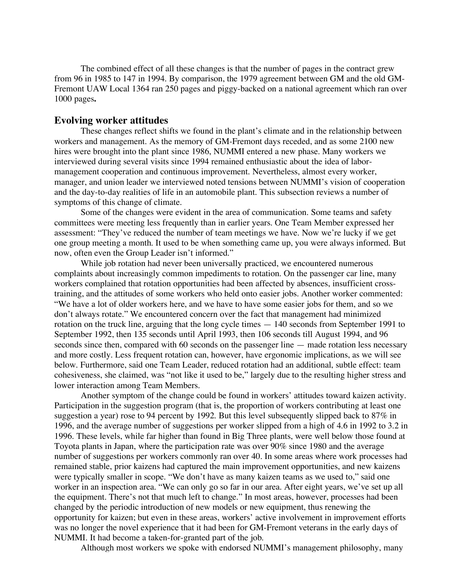The combined effect of all these changes is that the number of pages in the contract grew from 96 in 1985 to 147 in 1994. By comparison, the 1979 agreement between GM and the old GM-Fremont UAW Local 1364 ran 250 pages and piggy-backed on a national agreement which ran over 1000 pages**.**

#### **Evolving worker attitudes**

These changes reflect shifts we found in the plant's climate and in the relationship between workers and management. As the memory of GM-Fremont days receded, and as some 2100 new hires were brought into the plant since 1986, NUMMI entered a new phase. Many workers we interviewed during several visits since 1994 remained enthusiastic about the idea of labormanagement cooperation and continuous improvement. Nevertheless, almost every worker, manager, and union leader we interviewed noted tensions between NUMMI's vision of cooperation and the day-to-day realities of life in an automobile plant. This subsection reviews a number of symptoms of this change of climate.

Some of the changes were evident in the area of communication. Some teams and safety committees were meeting less frequently than in earlier years. One Team Member expressed her assessment: "They've reduced the number of team meetings we have. Now we're lucky if we get one group meeting a month. It used to be when something came up, you were always informed. But now, often even the Group Leader isn't informed."

While job rotation had never been universally practiced, we encountered numerous complaints about increasingly common impediments to rotation. On the passenger car line, many workers complained that rotation opportunities had been affected by absences, insufficient crosstraining, and the attitudes of some workers who held onto easier jobs. Another worker commented: "We have a lot of older workers here, and we have to have some easier jobs for them, and so we don't always rotate." We encountered concern over the fact that management had minimized rotation on the truck line, arguing that the long cycle times — 140 seconds from September 1991 to September 1992, then 135 seconds until April 1993, then 106 seconds till August 1994, and 96 seconds since then, compared with 60 seconds on the passenger line — made rotation less necessary and more costly. Less frequent rotation can, however, have ergonomic implications, as we will see below. Furthermore, said one Team Leader, reduced rotation had an additional, subtle effect: team cohesiveness, she claimed, was "not like it used to be," largely due to the resulting higher stress and lower interaction among Team Members.

Another symptom of the change could be found in workers' attitudes toward kaizen activity. Participation in the suggestion program (that is, the proportion of workers contributing at least one suggestion a year) rose to 94 percent by 1992. But this level subsequently slipped back to 87% in 1996, and the average number of suggestions per worker slipped from a high of 4.6 in 1992 to 3.2 in 1996. These levels, while far higher than found in Big Three plants, were well below those found at Toyota plants in Japan, where the participation rate was over 90% since 1980 and the average number of suggestions per workers commonly ran over 40. In some areas where work processes had remained stable, prior kaizens had captured the main improvement opportunities, and new kaizens were typically smaller in scope. "We don't have as many kaizen teams as we used to," said one worker in an inspection area. "We can only go so far in our area. After eight years, we've set up all the equipment. There's not that much left to change." In most areas, however, processes had been changed by the periodic introduction of new models or new equipment, thus renewing the opportunity for kaizen; but even in these areas, workers' active involvement in improvement efforts was no longer the novel experience that it had been for GM-Fremont veterans in the early days of NUMMI. It had become a taken-for-granted part of the job.

Although most workers we spoke with endorsed NUMMI's management philosophy, many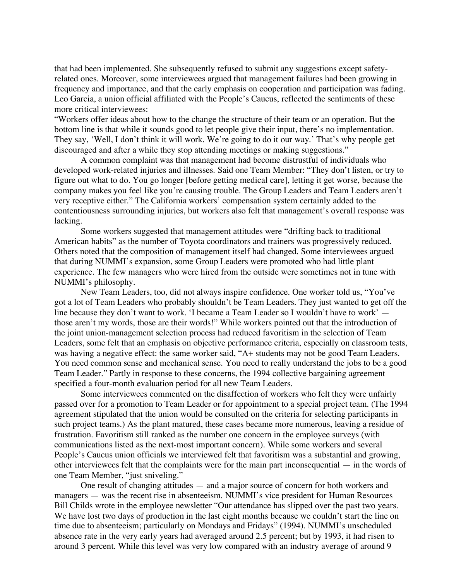that had been implemented. She subsequently refused to submit any suggestions except safetyrelated ones. Moreover, some interviewees argued that management failures had been growing in frequency and importance, and that the early emphasis on cooperation and participation was fading. Leo Garcia, a union official affiliated with the People's Caucus, reflected the sentiments of these more critical interviewees:

"Workers offer ideas about how to the change the structure of their team or an operation. But the bottom line is that while it sounds good to let people give their input, there's no implementation. They say, 'Well, I don't think it will work. We're going to do it our way.' That's why people get discouraged and after a while they stop attending meetings or making suggestions."

A common complaint was that management had become distrustful of individuals who developed work-related injuries and illnesses. Said one Team Member: "They don't listen, or try to figure out what to do. You go longer [before getting medical care], letting it get worse, because the company makes you feel like you're causing trouble. The Group Leaders and Team Leaders aren't very receptive either." The California workers' compensation system certainly added to the contentiousness surrounding injuries, but workers also felt that management's overall response was lacking.

Some workers suggested that management attitudes were "drifting back to traditional American habits" as the number of Toyota coordinators and trainers was progressively reduced. Others noted that the composition of management itself had changed. Some interviewees argued that during NUMMI's expansion, some Group Leaders were promoted who had little plant experience. The few managers who were hired from the outside were sometimes not in tune with NUMMI's philosophy.

New Team Leaders, too, did not always inspire confidence. One worker told us, "You've got a lot of Team Leaders who probably shouldn't be Team Leaders. They just wanted to get off the line because they don't want to work. 'I became a Team Leader so I wouldn't have to work' those aren't my words, those are their words!" While workers pointed out that the introduction of the joint union-management selection process had reduced favoritism in the selection of Team Leaders, some felt that an emphasis on objective performance criteria, especially on classroom tests, was having a negative effect: the same worker said, "A+ students may not be good Team Leaders. You need common sense and mechanical sense. You need to really understand the jobs to be a good Team Leader." Partly in response to these concerns, the 1994 collective bargaining agreement specified a four-month evaluation period for all new Team Leaders.

Some interviewees commented on the disaffection of workers who felt they were unfairly passed over for a promotion to Team Leader or for appointment to a special project team. (The 1994 agreement stipulated that the union would be consulted on the criteria for selecting participants in such project teams.) As the plant matured, these cases became more numerous, leaving a residue of frustration. Favoritism still ranked as the number one concern in the employee surveys (with communications listed as the next-most important concern). While some workers and several People's Caucus union officials we interviewed felt that favoritism was a substantial and growing, other interviewees felt that the complaints were for the main part inconsequential — in the words of one Team Member, "just sniveling."

One result of changing attitudes — and a major source of concern for both workers and managers — was the recent rise in absenteeism. NUMMI's vice president for Human Resources Bill Childs wrote in the employee newsletter "Our attendance has slipped over the past two years. We have lost two days of production in the last eight months because we couldn't start the line on time due to absenteeism; particularly on Mondays and Fridays" (1994). NUMMI's unscheduled absence rate in the very early years had averaged around 2.5 percent; but by 1993, it had risen to around 3 percent. While this level was very low compared with an industry average of around 9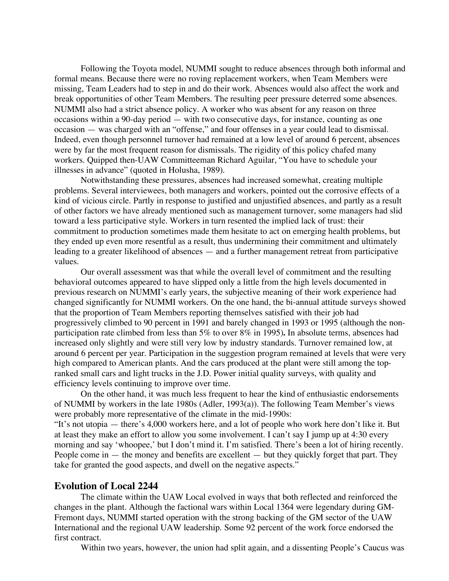Following the Toyota model, NUMMI sought to reduce absences through both informal and formal means. Because there were no roving replacement workers, when Team Members were missing, Team Leaders had to step in and do their work. Absences would also affect the work and break opportunities of other Team Members. The resulting peer pressure deterred some absences. NUMMI also had a strict absence policy. A worker who was absent for any reason on three occasions within a 90-day period — with two consecutive days, for instance, counting as one occasion — was charged with an "offense," and four offenses in a year could lead to dismissal. Indeed, even though personnel turnover had remained at a low level of around 6 percent, absences were by far the most frequent reason for dismissals. The rigidity of this policy chafed many workers. Quipped then-UAW Committeeman Richard Aguilar, "You have to schedule your illnesses in advance" (quoted in Holusha, 1989).

Notwithstanding these pressures, absences had increased somewhat, creating multiple problems. Several interviewees, both managers and workers, pointed out the corrosive effects of a kind of vicious circle. Partly in response to justified and unjustified absences, and partly as a result of other factors we have already mentioned such as management turnover, some managers had slid toward a less participative style. Workers in turn resented the implied lack of trust: their commitment to production sometimes made them hesitate to act on emerging health problems, but they ended up even more resentful as a result, thus undermining their commitment and ultimately leading to a greater likelihood of absences — and a further management retreat from participative values.

Our overall assessment was that while the overall level of commitment and the resulting behavioral outcomes appeared to have slipped only a little from the high levels documented in previous research on NUMMI's early years, the subjective meaning of their work experience had changed significantly for NUMMI workers. On the one hand, the bi-annual attitude surveys showed that the proportion of Team Members reporting themselves satisfied with their job had progressively climbed to 90 percent in 1991 and barely changed in 1993 or 1995 (although the nonparticipation rate climbed from less than 5% to over 8% in 1995)**.** In absolute terms, absences had increased only slightly and were still very low by industry standards. Turnover remained low, at around 6 percent per year. Participation in the suggestion program remained at levels that were very high compared to American plants. And the cars produced at the plant were still among the topranked small cars and light trucks in the J.D. Power initial quality surveys, with quality and efficiency levels continuing to improve over time.

On the other hand, it was much less frequent to hear the kind of enthusiastic endorsements of NUMMI by workers in the late 1980s (Adler, 1993(a)). The following Team Member's views were probably more representative of the climate in the mid-1990s:

"It's not utopia — there's 4,000 workers here, and a lot of people who work here don't like it. But at least they make an effort to allow you some involvement. I can't say I jump up at 4:30 every morning and say 'whoopee,' but I don't mind it. I'm satisfied. There's been a lot of hiring recently. People come in  $-$  the money and benefits are excellent  $-$  but they quickly forget that part. They take for granted the good aspects, and dwell on the negative aspects."

## **Evolution of Local 2244**

The climate within the UAW Local evolved in ways that both reflected and reinforced the changes in the plant. Although the factional wars within Local 1364 were legendary during GM-Fremont days, NUMMI started operation with the strong backing of the GM sector of the UAW International and the regional UAW leadership. Some 92 percent of the work force endorsed the first contract.

Within two years, however, the union had split again, and a dissenting People's Caucus was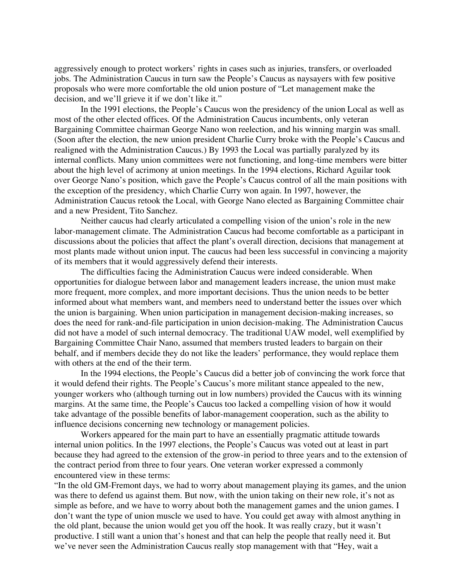aggressively enough to protect workers' rights in cases such as injuries, transfers, or overloaded jobs. The Administration Caucus in turn saw the People's Caucus as naysayers with few positive proposals who were more comfortable the old union posture of "Let management make the decision, and we'll grieve it if we don't like it."

In the 1991 elections, the People's Caucus won the presidency of the union Local as well as most of the other elected offices. Of the Administration Caucus incumbents, only veteran Bargaining Committee chairman George Nano won reelection, and his winning margin was small. (Soon after the election, the new union president Charlie Curry broke with the People's Caucus and realigned with the Administration Caucus.) By 1993 the Local was partially paralyzed by its internal conflicts. Many union committees were not functioning, and long-time members were bitter about the high level of acrimony at union meetings. In the 1994 elections, Richard Aguilar took over George Nano's position, which gave the People's Caucus control of all the main positions with the exception of the presidency, which Charlie Curry won again. In 1997, however, the Administration Caucus retook the Local, with George Nano elected as Bargaining Committee chair and a new President, Tito Sanchez.

Neither caucus had clearly articulated a compelling vision of the union's role in the new labor-management climate. The Administration Caucus had become comfortable as a participant in discussions about the policies that affect the plant's overall direction, decisions that management at most plants made without union input. The caucus had been less successful in convincing a majority of its members that it would aggressively defend their interests.

The difficulties facing the Administration Caucus were indeed considerable. When opportunities for dialogue between labor and management leaders increase, the union must make more frequent, more complex, and more important decisions. Thus the union needs to be better informed about what members want, and members need to understand better the issues over which the union is bargaining. When union participation in management decision-making increases, so does the need for rank-and-file participation in union decision-making. The Administration Caucus did not have a model of such internal democracy. The traditional UAW model, well exemplified by Bargaining Committee Chair Nano, assumed that members trusted leaders to bargain on their behalf, and if members decide they do not like the leaders' performance, they would replace them with others at the end of the their term.

In the 1994 elections, the People's Caucus did a better job of convincing the work force that it would defend their rights. The People's Caucus's more militant stance appealed to the new, younger workers who (although turning out in low numbers) provided the Caucus with its winning margins. At the same time, the People's Caucus too lacked a compelling vision of how it would take advantage of the possible benefits of labor-management cooperation, such as the ability to influence decisions concerning new technology or management policies.

Workers appeared for the main part to have an essentially pragmatic attitude towards internal union politics. In the 1997 elections, the People's Caucus was voted out at least in part because they had agreed to the extension of the grow-in period to three years and to the extension of the contract period from three to four years. One veteran worker expressed a commonly encountered view in these terms:

"In the old GM-Fremont days, we had to worry about management playing its games, and the union was there to defend us against them. But now, with the union taking on their new role, it's not as simple as before, and we have to worry about both the management games and the union games. I don't want the type of union muscle we used to have. You could get away with almost anything in the old plant, because the union would get you off the hook. It was really crazy, but it wasn't productive. I still want a union that's honest and that can help the people that really need it. But we've never seen the Administration Caucus really stop management with that "Hey, wait a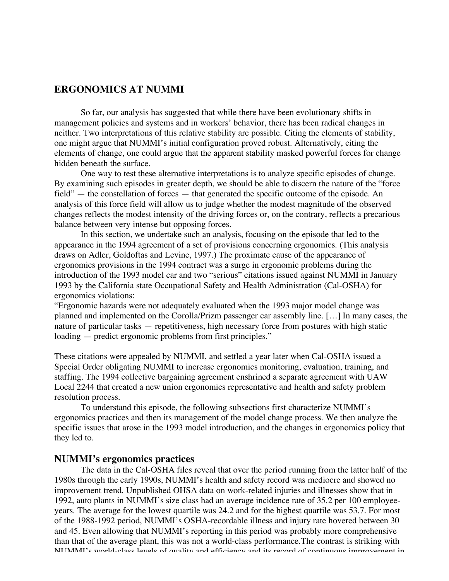# **ERGONOMICS AT NUMMI**

So far, our analysis has suggested that while there have been evolutionary shifts in management policies and systems and in workers' behavior, there has been radical changes in neither. Two interpretations of this relative stability are possible. Citing the elements of stability, one might argue that NUMMI's initial configuration proved robust. Alternatively, citing the elements of change, one could argue that the apparent stability masked powerful forces for change hidden beneath the surface.

One way to test these alternative interpretations is to analyze specific episodes of change. By examining such episodes in greater depth, we should be able to discern the nature of the "force field" — the constellation of forces — that generated the specific outcome of the episode. An analysis of this force field will allow us to judge whether the modest magnitude of the observed changes reflects the modest intensity of the driving forces or, on the contrary, reflects a precarious balance between very intense but opposing forces.

In this section, we undertake such an analysis, focusing on the episode that led to the appearance in the 1994 agreement of a set of provisions concerning ergonomics. (This analysis draws on Adler, Goldoftas and Levine, 1997.) The proximate cause of the appearance of ergonomics provisions in the 1994 contract was a surge in ergonomic problems during the introduction of the 1993 model car and two "serious" citations issued against NUMMI in January 1993 by the California state Occupational Safety and Health Administration (Cal-OSHA) for ergonomics violations:

"Ergonomic hazards were not adequately evaluated when the 1993 major model change was planned and implemented on the Corolla/Prizm passenger car assembly line. […] In many cases, the nature of particular tasks — repetitiveness, high necessary force from postures with high static loading — predict ergonomic problems from first principles."

These citations were appealed by NUMMI, and settled a year later when Cal-OSHA issued a Special Order obligating NUMMI to increase ergonomics monitoring, evaluation, training, and staffing. The 1994 collective bargaining agreement enshrined a separate agreement with UAW Local 2244 that created a new union ergonomics representative and health and safety problem resolution process.

To understand this episode, the following subsections first characterize NUMMI's ergonomics practices and then its management of the model change process. We then analyze the specific issues that arose in the 1993 model introduction, and the changes in ergonomics policy that they led to.

#### **NUMMI's ergonomics practices**

The data in the Cal-OSHA files reveal that over the period running from the latter half of the 1980s through the early 1990s, NUMMI's health and safety record was mediocre and showed no improvement trend. Unpublished OHSA data on work-related injuries and illnesses show that in 1992, auto plants in NUMMI's size class had an average incidence rate of 35.2 per 100 employeeyears. The average for the lowest quartile was 24.2 and for the highest quartile was 53.7. For most of the 1988-1992 period, NUMMI's OSHA-recordable illness and injury rate hovered between 30 and 45. Even allowing that NUMMI's reporting in this period was probably more comprehensive than that of the average plant, this was not a world-class performance.The contrast is striking with NUMMI's world-class levels of quality and efficiency and its record of continuous improvement in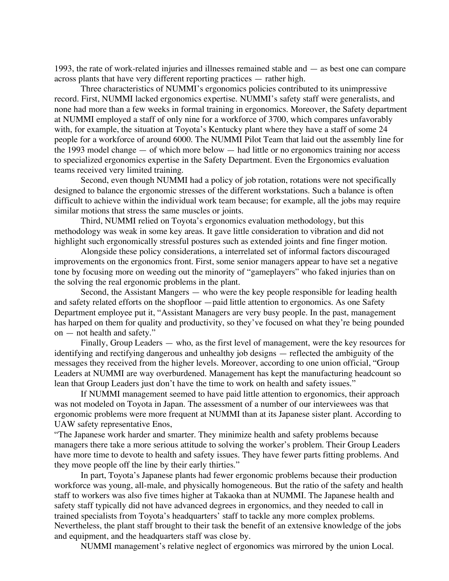1993, the rate of work-related injuries and illnesses remained stable and — as best one can compare across plants that have very different reporting practices — rather high.

Three characteristics of NUMMI's ergonomics policies contributed to its unimpressive record. First, NUMMI lacked ergonomics expertise. NUMMI's safety staff were generalists, and none had more than a few weeks in formal training in ergonomics. Moreover, the Safety department at NUMMI employed a staff of only nine for a workforce of 3700, which compares unfavorably with, for example, the situation at Toyota's Kentucky plant where they have a staff of some 24 people for a workforce of around 6000. The NUMMI Pilot Team that laid out the assembly line for the 1993 model change — of which more below — had little or no ergonomics training nor access to specialized ergonomics expertise in the Safety Department. Even the Ergonomics evaluation teams received very limited training.

Second, even though NUMMI had a policy of job rotation, rotations were not specifically designed to balance the ergonomic stresses of the different workstations. Such a balance is often difficult to achieve within the individual work team because; for example, all the jobs may require similar motions that stress the same muscles or joints.

Third, NUMMI relied on Toyota's ergonomics evaluation methodology, but this methodology was weak in some key areas. It gave little consideration to vibration and did not highlight such ergonomically stressful postures such as extended joints and fine finger motion.

Alongside these policy considerations, a interrelated set of informal factors discouraged improvements on the ergonomics front. First, some senior managers appear to have set a negative tone by focusing more on weeding out the minority of "gameplayers" who faked injuries than on the solving the real ergonomic problems in the plant.

Second, the Assistant Mangers — who were the key people responsible for leading health and safety related efforts on the shopfloor —paid little attention to ergonomics. As one Safety Department employee put it, "Assistant Managers are very busy people. In the past, management has harped on them for quality and productivity, so they've focused on what they're being pounded on — not health and safety."

Finally, Group Leaders — who, as the first level of management, were the key resources for identifying and rectifying dangerous and unhealthy job designs — reflected the ambiguity of the messages they received from the higher levels. Moreover, according to one union official, "Group Leaders at NUMMI are way overburdened. Management has kept the manufacturing headcount so lean that Group Leaders just don't have the time to work on health and safety issues."

If NUMMI management seemed to have paid little attention to ergonomics, their approach was not modeled on Toyota in Japan. The assessment of a number of our interviewees was that ergonomic problems were more frequent at NUMMI than at its Japanese sister plant. According to UAW safety representative Enos,

"The Japanese work harder and smarter. They minimize health and safety problems because managers there take a more serious attitude to solving the worker's problem. Their Group Leaders have more time to devote to health and safety issues. They have fewer parts fitting problems. And they move people off the line by their early thirties."

In part, Toyota's Japanese plants had fewer ergonomic problems because their production workforce was young, all-male, and physically homogeneous. But the ratio of the safety and health staff to workers was also five times higher at Takaoka than at NUMMI. The Japanese health and safety staff typically did not have advanced degrees in ergonomics, and they needed to call in trained specialists from Toyota's headquarters' staff to tackle any more complex problems. Nevertheless, the plant staff brought to their task the benefit of an extensive knowledge of the jobs and equipment, and the headquarters staff was close by.

NUMMI management's relative neglect of ergonomics was mirrored by the union Local.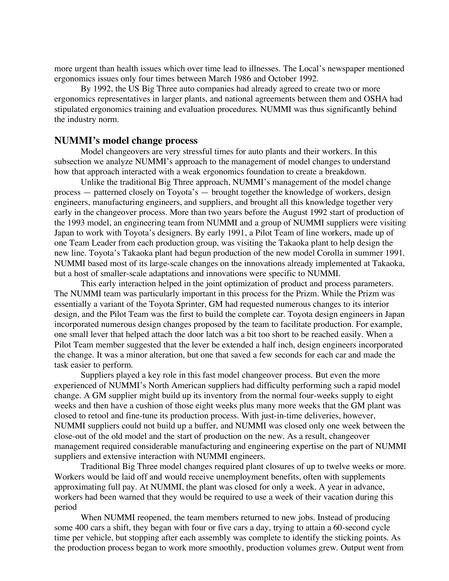more urgent than health issues which over time lead to illnesses. The Local's newspaper mentioned ergonomics issues only four times between March 1986 and October 1992.

By 1992, the US Big Three auto companies had already agreed to create two or more ergonomics representatives in larger plants, and national agreements between them and OSHA had stipulated ergonomics training and evaluation procedures. NUMMI was thus significantly behind the industry norm.

#### **NUMMI's model change process**

Model changeovers are very stressful times for auto plants and their workers. In this subsection we analyze NUMMI's approach to the management of model changes to understand how that approach interacted with a weak ergonomics foundation to create a breakdown.

Unlike the traditional Big Three approach, NUMMI's management of the model change process — patterned closely on Toyota's — brought together the knowledge of workers, design engineers, manufacturing engineers, and suppliers, and brought all this knowledge together very early in the changeover process. More than two years before the August 1992 start of production of the 1993 model, an engineering team from NUMMI and a group of NUMMI suppliers were visiting Japan to work with Toyota's designers. By early 1991, a Pilot Team of line workers, made up of one Team Leader from each production group, was visiting the Takaoka plant to help design the new line. Toyota's Takaoka plant had begun production of the new model Corolla in summer 1991. NUMMI based most of its large-scale changes on the innovations already implemented at Takaoka, but a host of smaller-scale adaptations and innovations were specific to NUMMI.

This early interaction helped in the joint optimization of product and process parameters. The NUMMI team was particularly important in this process for the Prizm. While the Prizm was essentially a variant of the Toyota Sprinter, GM had requested numerous changes to its interior design, and the Pilot Team was the first to build the complete car. Toyota design engineers in Japan incorporated numerous design changes proposed by the team to facilitate production. For example, one small lever that helped attach the door latch was a bit too short to be reached easily. When a Pilot Team member suggested that the lever be extended a half inch, design engineers incorporated the change. It was a minor alteration, but one that saved a few seconds for each car and made the task easier to perform.

Suppliers played a key role in this fast model changeover process. But even the more experienced of NUMMI's North American suppliers had difficulty performing such a rapid model change. A GM supplier might build up its inventory from the normal four-weeks supply to eight weeks and then have a cushion of those eight weeks plus many more weeks that the GM plant was closed to retool and fine-tune its production process. With just-in-time deliveries, however, NUMMI suppliers could not build up a buffer, and NUMMI was closed only one week between the close-out of the old model and the start of production on the new. As a result, changeover management required considerable manufacturing and engineering expertise on the part of NUMMI suppliers and extensive interaction with NUMMI engineers.

Traditional Big Three model changes required plant closures of up to twelve weeks or more. Workers would be laid off and would receive unemployment benefits, often with supplements approximating full pay. At NUMMI, the plant was closed for only a week. A year in advance, workers had been warned that they would be required to use a week of their vacation during this period

When NUMMI reopened, the team members returned to new jobs. Instead of producing some 400 cars a shift, they began with four or five cars a day, trying to attain a 60-second cycle time per vehicle, but stopping after each assembly was complete to identify the sticking points. As the production process began to work more smoothly, production volumes grew. Output went from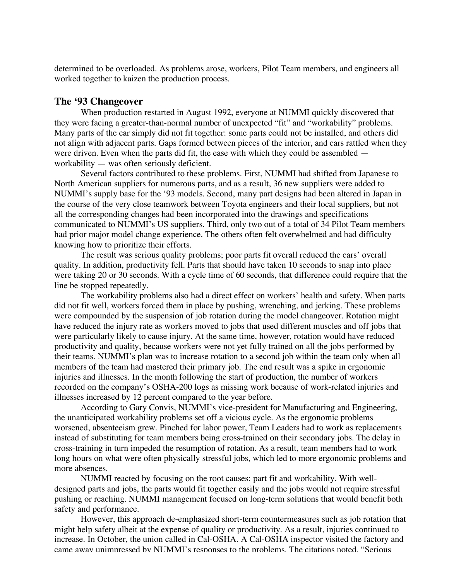determined to be overloaded. As problems arose, workers, Pilot Team members, and engineers all worked together to kaizen the production process.

### **The '93 Changeover**

When production restarted in August 1992, everyone at NUMMI quickly discovered that they were facing a greater-than-normal number of unexpected "fit" and "workability" problems. Many parts of the car simply did not fit together: some parts could not be installed, and others did not align with adjacent parts. Gaps formed between pieces of the interior, and cars rattled when they were driven. Even when the parts did fit, the ease with which they could be assembled workability — was often seriously deficient.

Several factors contributed to these problems. First, NUMMI had shifted from Japanese to North American suppliers for numerous parts, and as a result, 36 new suppliers were added to NUMMI's supply base for the '93 models. Second, many part designs had been altered in Japan in the course of the very close teamwork between Toyota engineers and their local suppliers, but not all the corresponding changes had been incorporated into the drawings and specifications communicated to NUMMI's US suppliers. Third, only two out of a total of 34 Pilot Team members had prior major model change experience. The others often felt overwhelmed and had difficulty knowing how to prioritize their efforts.

The result was serious quality problems; poor parts fit overall reduced the cars' overall quality. In addition, productivity fell. Parts that should have taken 10 seconds to snap into place were taking 20 or 30 seconds. With a cycle time of 60 seconds, that difference could require that the line be stopped repeatedly.

The workability problems also had a direct effect on workers' health and safety. When parts did not fit well, workers forced them in place by pushing, wrenching, and jerking. These problems were compounded by the suspension of job rotation during the model changeover. Rotation might have reduced the injury rate as workers moved to jobs that used different muscles and off jobs that were particularly likely to cause injury. At the same time, however, rotation would have reduced productivity and quality, because workers were not yet fully trained on all the jobs performed by their teams. NUMMI's plan was to increase rotation to a second job within the team only when all members of the team had mastered their primary job. The end result was a spike in ergonomic injuries and illnesses. In the month following the start of production, the number of workers recorded on the company's OSHA-200 logs as missing work because of work-related injuries and illnesses increased by 12 percent compared to the year before.

According to Gary Convis, NUMMI's vice-president for Manufacturing and Engineering, the unanticipated workability problems set off a vicious cycle. As the ergonomic problems worsened, absenteeism grew. Pinched for labor power, Team Leaders had to work as replacements instead of substituting for team members being cross-trained on their secondary jobs. The delay in cross-training in turn impeded the resumption of rotation. As a result, team members had to work long hours on what were often physically stressful jobs, which led to more ergonomic problems and more absences.

NUMMI reacted by focusing on the root causes: part fit and workability. With welldesigned parts and jobs, the parts would fit together easily and the jobs would not require stressful pushing or reaching. NUMMI management focused on long-term solutions that would benefit both safety and performance.

However, this approach de-emphasized short-term countermeasures such as job rotation that might help safety albeit at the expense of quality or productivity. As a result, injuries continued to increase. In October, the union called in Cal-OSHA. A Cal-OSHA inspector visited the factory and came away unimpressed by NUMMI's responses to the problems. The citations noted, "Serious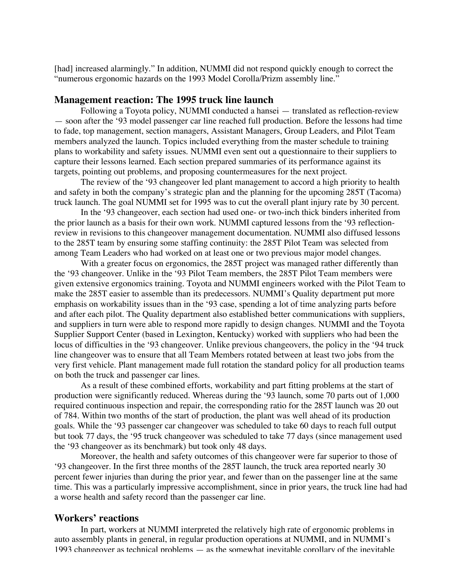[had] increased alarmingly." In addition, NUMMI did not respond quickly enough to correct the "numerous ergonomic hazards on the 1993 Model Corolla/Prizm assembly line."

#### **Management reaction: The 1995 truck line launch**

Following a Toyota policy, NUMMI conducted a hansei — translated as reflection-review — soon after the '93 model passenger car line reached full production. Before the lessons had time to fade, top management, section managers, Assistant Managers, Group Leaders, and Pilot Team members analyzed the launch. Topics included everything from the master schedule to training plans to workability and safety issues. NUMMI even sent out a questionnaire to their suppliers to capture their lessons learned. Each section prepared summaries of its performance against its targets, pointing out problems, and proposing countermeasures for the next project.

The review of the '93 changeover led plant management to accord a high priority to health and safety in both the company's strategic plan and the planning for the upcoming 285T (Tacoma) truck launch. The goal NUMMI set for 1995 was to cut the overall plant injury rate by 30 percent.

In the '93 changeover, each section had used one- or two-inch thick binders inherited from the prior launch as a basis for their own work. NUMMI captured lessons from the '93 reflectionreview in revisions to this changeover management documentation. NUMMI also diffused lessons to the 285T team by ensuring some staffing continuity: the 285T Pilot Team was selected from among Team Leaders who had worked on at least one or two previous major model changes.

With a greater focus on ergonomics, the 285T project was managed rather differently than the '93 changeover. Unlike in the '93 Pilot Team members, the 285T Pilot Team members were given extensive ergonomics training. Toyota and NUMMI engineers worked with the Pilot Team to make the 285T easier to assemble than its predecessors. NUMMI's Quality department put more emphasis on workability issues than in the '93 case, spending a lot of time analyzing parts before and after each pilot. The Quality department also established better communications with suppliers, and suppliers in turn were able to respond more rapidly to design changes. NUMMI and the Toyota Supplier Support Center (based in Lexington, Kentucky) worked with suppliers who had been the locus of difficulties in the '93 changeover. Unlike previous changeovers, the policy in the '94 truck line changeover was to ensure that all Team Members rotated between at least two jobs from the very first vehicle. Plant management made full rotation the standard policy for all production teams on both the truck and passenger car lines.

As a result of these combined efforts, workability and part fitting problems at the start of production were significantly reduced. Whereas during the '93 launch, some 70 parts out of 1,000 required continuous inspection and repair, the corresponding ratio for the 285T launch was 20 out of 784. Within two months of the start of production, the plant was well ahead of its production goals. While the '93 passenger car changeover was scheduled to take 60 days to reach full output but took 77 days, the '95 truck changeover was scheduled to take 77 days (since management used the '93 changeover as its benchmark) but took only 48 days.

Moreover, the health and safety outcomes of this changeover were far superior to those of '93 changeover. In the first three months of the 285T launch, the truck area reported nearly 30 percent fewer injuries than during the prior year, and fewer than on the passenger line at the same time. This was a particularly impressive accomplishment, since in prior years, the truck line had had a worse health and safety record than the passenger car line.

#### **Workers' reactions**

In part, workers at NUMMI interpreted the relatively high rate of ergonomic problems in auto assembly plants in general, in regular production operations at NUMMI, and in NUMMI's 1993 changeover as technical problems — as the somewhat inevitable corollary of the inevitable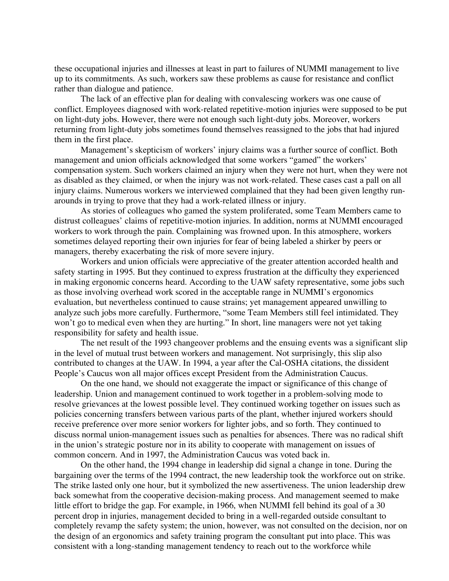these occupational injuries and illnesses at least in part to failures of NUMMI management to live up to its commitments. As such, workers saw these problems as cause for resistance and conflict rather than dialogue and patience.

The lack of an effective plan for dealing with convalescing workers was one cause of conflict. Employees diagnosed with work-related repetitive-motion injuries were supposed to be put on light-duty jobs. However, there were not enough such light-duty jobs. Moreover, workers returning from light-duty jobs sometimes found themselves reassigned to the jobs that had injured them in the first place.

Management's skepticism of workers' injury claims was a further source of conflict. Both management and union officials acknowledged that some workers "gamed" the workers' compensation system. Such workers claimed an injury when they were not hurt, when they were not as disabled as they claimed, or when the injury was not work-related. These cases cast a pall on all injury claims. Numerous workers we interviewed complained that they had been given lengthy runarounds in trying to prove that they had a work-related illness or injury.

As stories of colleagues who gamed the system proliferated, some Team Members came to distrust colleagues' claims of repetitive-motion injuries. In addition, norms at NUMMI encouraged workers to work through the pain. Complaining was frowned upon. In this atmosphere, workers sometimes delayed reporting their own injuries for fear of being labeled a shirker by peers or managers, thereby exacerbating the risk of more severe injury.

Workers and union officials were appreciative of the greater attention accorded health and safety starting in 1995. But they continued to express frustration at the difficulty they experienced in making ergonomic concerns heard. According to the UAW safety representative, some jobs such as those involving overhead work scored in the acceptable range in NUMMI's ergonomics evaluation, but nevertheless continued to cause strains; yet management appeared unwilling to analyze such jobs more carefully. Furthermore, "some Team Members still feel intimidated. They won't go to medical even when they are hurting." In short, line managers were not yet taking responsibility for safety and health issue.

The net result of the 1993 changeover problems and the ensuing events was a significant slip in the level of mutual trust between workers and management. Not surprisingly, this slip also contributed to changes at the UAW. In 1994, a year after the Cal-OSHA citations, the dissident People's Caucus won all major offices except President from the Administration Caucus.

On the one hand, we should not exaggerate the impact or significance of this change of leadership. Union and management continued to work together in a problem-solving mode to resolve grievances at the lowest possible level. They continued working together on issues such as policies concerning transfers between various parts of the plant, whether injured workers should receive preference over more senior workers for lighter jobs, and so forth. They continued to discuss normal union-management issues such as penalties for absences. There was no radical shift in the union's strategic posture nor in its ability to cooperate with management on issues of common concern. And in 1997, the Administration Caucus was voted back in.

On the other hand, the 1994 change in leadership did signal a change in tone. During the bargaining over the terms of the 1994 contract, the new leadership took the workforce out on strike. The strike lasted only one hour, but it symbolized the new assertiveness. The union leadership drew back somewhat from the cooperative decision-making process. And management seemed to make little effort to bridge the gap. For example, in 1966, when NUMMI fell behind its goal of a 30 percent drop in injuries, management decided to bring in a well-regarded outside consultant to completely revamp the safety system; the union, however, was not consulted on the decision, nor on the design of an ergonomics and safety training program the consultant put into place. This was consistent with a long-standing management tendency to reach out to the workforce while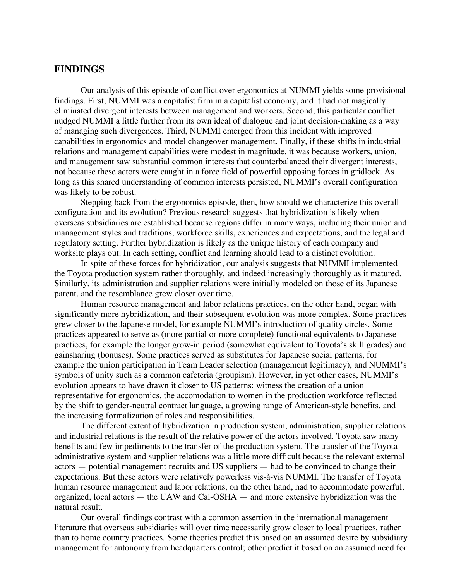# **FINDINGS**

Our analysis of this episode of conflict over ergonomics at NUMMI yields some provisional findings. First, NUMMI was a capitalist firm in a capitalist economy, and it had not magically eliminated divergent interests between management and workers. Second, this particular conflict nudged NUMMI a little further from its own ideal of dialogue and joint decision-making as a way of managing such divergences. Third, NUMMI emerged from this incident with improved capabilities in ergonomics and model changeover management. Finally, if these shifts in industrial relations and management capabilities were modest in magnitude, it was because workers, union, and management saw substantial common interests that counterbalanced their divergent interests, not because these actors were caught in a force field of powerful opposing forces in gridlock. As long as this shared understanding of common interests persisted, NUMMI's overall configuration was likely to be robust.

Stepping back from the ergonomics episode, then, how should we characterize this overall configuration and its evolution? Previous research suggests that hybridization is likely when overseas subsidiaries are established because regions differ in many ways, including their union and management styles and traditions, workforce skills, experiences and expectations, and the legal and regulatory setting. Further hybridization is likely as the unique history of each company and worksite plays out. In each setting, conflict and learning should lead to a distinct evolution.

In spite of these forces for hybridization, our analysis suggests that NUMMI implemented the Toyota production system rather thoroughly, and indeed increasingly thoroughly as it matured. Similarly, its administration and supplier relations were initially modeled on those of its Japanese parent, and the resemblance grew closer over time.

Human resource management and labor relations practices, on the other hand, began with significantly more hybridization, and their subsequent evolution was more complex. Some practices grew closer to the Japanese model, for example NUMMI's introduction of quality circles. Some practices appeared to serve as (more partial or more complete) functional equivalents to Japanese practices, for example the longer grow-in period (somewhat equivalent to Toyota's skill grades) and gainsharing (bonuses). Some practices served as substitutes for Japanese social patterns, for example the union participation in Team Leader selection (management legitimacy), and NUMMI's symbols of unity such as a common cafeteria (groupism). However, in yet other cases, NUMMI's evolution appears to have drawn it closer to US patterns: witness the creation of a union representative for ergonomics, the accomodation to women in the production workforce reflected by the shift to gender-neutral contract language, a growing range of American-style benefits, and the increasing formalization of roles and responsibilities.

The different extent of hybridization in production system, administration, supplier relations and industrial relations is the result of the relative power of the actors involved. Toyota saw many benefits and few impediments to the transfer of the production system. The transfer of the Toyota administrative system and supplier relations was a little more difficult because the relevant external actors — potential management recruits and US suppliers — had to be convinced to change their expectations. But these actors were relatively powerless vis-à-vis NUMMI. The transfer of Toyota human resource management and labor relations, on the other hand, had to accommodate powerful, organized, local actors — the UAW and Cal-OSHA — and more extensive hybridization was the natural result.

Our overall findings contrast with a common assertion in the international management literature that overseas subsidiaries will over time necessarily grow closer to local practices, rather than to home country practices. Some theories predict this based on an assumed desire by subsidiary management for autonomy from headquarters control; other predict it based on an assumed need for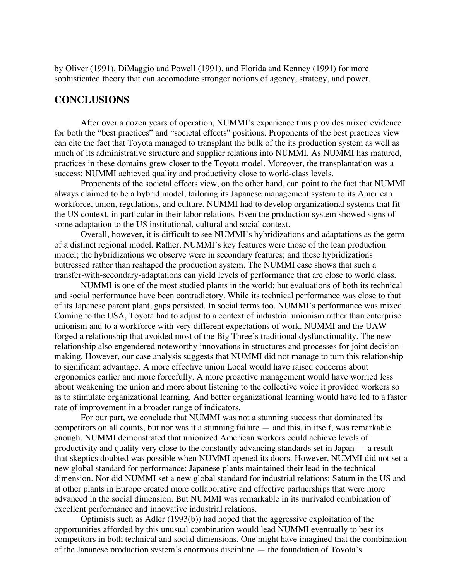by Oliver (1991), DiMaggio and Powell (1991), and Florida and Kenney (1991) for more sophisticated theory that can accomodate stronger notions of agency, strategy, and power.

# **CONCLUSIONS**

After over a dozen years of operation, NUMMI's experience thus provides mixed evidence for both the "best practices" and "societal effects" positions. Proponents of the best practices view can cite the fact that Toyota managed to transplant the bulk of the its production system as well as much of its administrative structure and supplier relations into NUMMI. As NUMMI has matured, practices in these domains grew closer to the Toyota model. Moreover, the transplantation was a success: NUMMI achieved quality and productivity close to world-class levels.

Proponents of the societal effects view, on the other hand, can point to the fact that NUMMI always claimed to be a hybrid model, tailoring its Japanese management system to its American workforce, union, regulations, and culture. NUMMI had to develop organizational systems that fit the US context, in particular in their labor relations. Even the production system showed signs of some adaptation to the US institutional, cultural and social context.

Overall, however, it is difficult to see NUMMI's hybridizations and adaptations as the germ of a distinct regional model. Rather, NUMMI's key features were those of the lean production model; the hybridizations we observe were in secondary features; and these hybridizations buttressed rather than reshaped the production system. The NUMMI case shows that such a transfer-with-secondary-adaptations can yield levels of performance that are close to world class.

NUMMI is one of the most studied plants in the world; but evaluations of both its technical and social performance have been contradictory. While its technical performance was close to that of its Japanese parent plant, gaps persisted. In social terms too, NUMMI's performance was mixed. Coming to the USA, Toyota had to adjust to a context of industrial unionism rather than enterprise unionism and to a workforce with very different expectations of work. NUMMI and the UAW forged a relationship that avoided most of the Big Three's traditional dysfunctionality. The new relationship also engendered noteworthy innovations in structures and processes for joint decisionmaking. However, our case analysis suggests that NUMMI did not manage to turn this relationship to significant advantage. A more effective union Local would have raised concerns about ergonomics earlier and more forcefully. A more proactive management would have worried less about weakening the union and more about listening to the collective voice it provided workers so as to stimulate organizational learning. And better organizational learning would have led to a faster rate of improvement in a broader range of indicators.

For our part, we conclude that NUMMI was not a stunning success that dominated its competitors on all counts, but nor was it a stunning failure — and this, in itself, was remarkable enough. NUMMI demonstrated that unionized American workers could achieve levels of productivity and quality very close to the constantly advancing standards set in Japan — a result that skeptics doubted was possible when NUMMI opened its doors. However, NUMMI did not set a new global standard for performance: Japanese plants maintained their lead in the technical dimension. Nor did NUMMI set a new global standard for industrial relations: Saturn in the US and at other plants in Europe created more collaborative and effective partnerships that were more advanced in the social dimension. But NUMMI was remarkable in its unrivaled combination of excellent performance and innovative industrial relations.

Optimists such as Adler (1993(b)) had hoped that the aggressive exploitation of the opportunities afforded by this unusual combination would lead NUMMI eventually to best its competitors in both technical and social dimensions. One might have imagined that the combination of the Japanese production system's enormous discipline — the foundation of Toyota's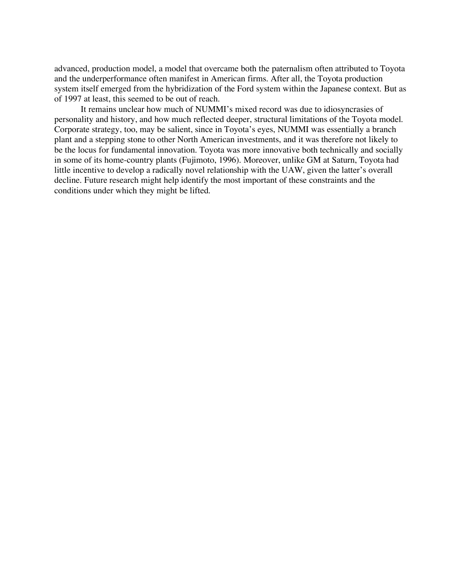advanced, production model, a model that overcame both the paternalism often attributed to Toyota and the underperformance often manifest in American firms. After all, the Toyota production system itself emerged from the hybridization of the Ford system within the Japanese context. But as of 1997 at least, this seemed to be out of reach.

It remains unclear how much of NUMMI's mixed record was due to idiosyncrasies of personality and history, and how much reflected deeper, structural limitations of the Toyota model. Corporate strategy, too, may be salient, since in Toyota's eyes, NUMMI was essentially a branch plant and a stepping stone to other North American investments, and it was therefore not likely to be the locus for fundamental innovation. Toyota was more innovative both technically and socially in some of its home-country plants (Fujimoto, 1996). Moreover, unlike GM at Saturn, Toyota had little incentive to develop a radically novel relationship with the UAW, given the latter's overall decline. Future research might help identify the most important of these constraints and the conditions under which they might be lifted.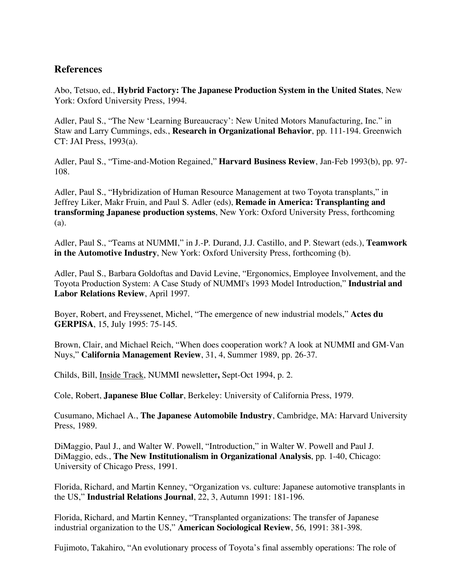# **References**

Abo, Tetsuo, ed., **Hybrid Factory: The Japanese Production System in the United States**, New York: Oxford University Press, 1994.

Adler, Paul S., "The New 'Learning Bureaucracy': New United Motors Manufacturing, Inc." in Staw and Larry Cummings, eds., **Research in Organizational Behavior**, pp. 111-194. Greenwich CT: JAI Press, 1993(a).

Adler, Paul S., "Time-and-Motion Regained," **Harvard Business Review**, Jan-Feb 1993(b), pp. 97- 108.

Adler, Paul S., "Hybridization of Human Resource Management at two Toyota transplants," in Jeffrey Liker, Makr Fruin, and Paul S. Adler (eds), **Remade in America: Transplanting and transforming Japanese production systems**, New York: Oxford University Press, forthcoming (a).

Adler, Paul S., "Teams at NUMMI," in J.-P. Durand, J.J. Castillo, and P. Stewart (eds.), **Teamwork in the Automotive Industry**, New York: Oxford University Press, forthcoming (b).

Adler, Paul S., Barbara Goldoftas and David Levine, "Ergonomics, Employee Involvement, and the Toyota Production System: A Case Study of NUMMI's 1993 Model Introduction," **Industrial and Labor Relations Review**, April 1997.

Boyer, Robert, and Freyssenet, Michel, "The emergence of new industrial models," **Actes du GERPISA**, 15, July 1995: 75-145.

Brown, Clair, and Michael Reich, "When does cooperation work? A look at NUMMI and GM-Van Nuys," **California Management Review**, 31, 4, Summer 1989, pp. 26-37.

Childs, Bill, Inside Track, NUMMI newsletter**,** Sept-Oct 1994, p. 2.

Cole, Robert, **Japanese Blue Collar**, Berkeley: University of California Press, 1979.

Cusumano, Michael A., **The Japanese Automobile Industry**, Cambridge, MA: Harvard University Press, 1989.

DiMaggio, Paul J., and Walter W. Powell, "Introduction," in Walter W. Powell and Paul J. DiMaggio, eds., **The New Institutionalism in Organizational Analysis**, pp. 1-40, Chicago: University of Chicago Press, 1991.

Florida, Richard, and Martin Kenney, "Organization vs. culture: Japanese automotive transplants in the US," **Industrial Relations Journal**, 22, 3, Autumn 1991: 181-196.

Florida, Richard, and Martin Kenney, "Transplanted organizations: The transfer of Japanese industrial organization to the US," **American Sociological Review**, 56, 1991: 381-398.

Fujimoto, Takahiro, "An evolutionary process of Toyota's final assembly operations: The role of